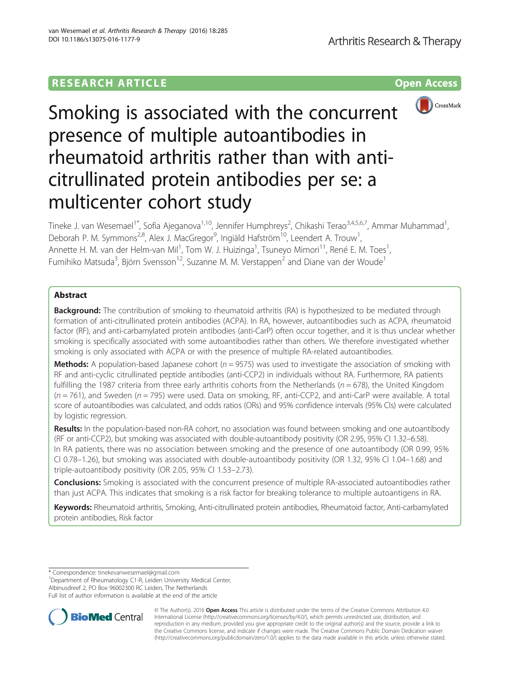## **RESEARCH ARTICLE EXECUTE: CONSIDERING A RESEARCH ARTICLE**



# Smoking is associated with the concurrent presence of multiple autoantibodies in rheumatoid arthritis rather than with anticitrullinated protein antibodies per se: a multicenter cohort study

Tineke J. van Wesemael<sup>1\*</sup>, Sofia Ajeganova<sup>1,10</sup>, Jennifer Humphreys<sup>2</sup>, Chikashi Terao<sup>3,4,5,6,7</sup>, Ammar Muhammad<sup>1</sup> , Deborah P. M. Symmons<sup>2,8</sup>, Alex J. MacGregor<sup>9</sup>, Ingiäld Hafström<sup>10</sup>, Leendert A. Trouw<sup>1</sup> , Annette H. M. van der Helm-van Mil<sup>1</sup>, Tom W. J. Huizinga<sup>1</sup>, Tsuneyo Mimori<sup>11</sup>, René E. M. Toes<sup>1</sup> , Fumihiko Matsuda<sup>3</sup>, Björn Svensson<sup>12</sup>, Suzanne M. M. Verstappen<sup>2</sup> and Diane van der Woude<sup>1</sup>

## Abstract

**Background:** The contribution of smoking to rheumatoid arthritis (RA) is hypothesized to be mediated through formation of anti-citrullinated protein antibodies (ACPA). In RA, however, autoantibodies such as ACPA, rheumatoid factor (RF), and anti-carbamylated protein antibodies (anti-CarP) often occur together, and it is thus unclear whether smoking is specifically associated with some autoantibodies rather than others. We therefore investigated whether smoking is only associated with ACPA or with the presence of multiple RA-related autoantibodies.

**Methods:** A population-based Japanese cohort ( $n = 9575$ ) was used to investigate the association of smoking with RF and anti-cyclic citrullinated peptide antibodies (anti-CCP2) in individuals without RA. Furthermore, RA patients fulfilling the 1987 criteria from three early arthritis cohorts from the Netherlands ( $n = 678$ ), the United Kingdom  $(n = 761)$ , and Sweden ( $n = 795$ ) were used. Data on smoking, RF, anti-CCP2, and anti-CarP were available. A total score of autoantibodies was calculated, and odds ratios (ORs) and 95% confidence intervals (95% CIs) were calculated by logistic regression.

Results: In the population-based non-RA cohort, no association was found between smoking and one autoantibody (RF or anti-CCP2), but smoking was associated with double-autoantibody positivity (OR 2.95, 95% CI 1.32–6.58). In RA patients, there was no association between smoking and the presence of one autoantibody (OR 0.99, 95% CI 0.78–1.26), but smoking was associated with double-autoantibody positivity (OR 1.32, 95% CI 1.04–1.68) and triple-autoantibody positivity (OR 2.05, 95% CI 1.53–2.73).

**Conclusions:** Smoking is associated with the concurrent presence of multiple RA-associated autoantibodies rather than just ACPA. This indicates that smoking is a risk factor for breaking tolerance to multiple autoantigens in RA.

Keywords: Rheumatoid arthritis, Smoking, Anti-citrullinated protein antibodies, Rheumatoid factor, Anti-carbamylated protein antibodies, Risk factor

\* Correspondence: [tinekevanwesemael@gmail.com](mailto:tinekevanwesemael@gmail.com) <sup>1</sup>

<sup>1</sup> Department of Rheumatology C1-R, Leiden University Medical Center, Albinusdreef 2, PO Box 96002300 RC Leiden, The Netherlands

Full list of author information is available at the end of the article



© The Author(s). 2016 Open Access This article is distributed under the terms of the Creative Commons Attribution 4.0 International License [\(http://creativecommons.org/licenses/by/4.0/](http://creativecommons.org/licenses/by/4.0/)), which permits unrestricted use, distribution, and reproduction in any medium, provided you give appropriate credit to the original author(s) and the source, provide a link to the Creative Commons license, and indicate if changes were made. The Creative Commons Public Domain Dedication waiver [\(http://creativecommons.org/publicdomain/zero/1.0/](http://creativecommons.org/publicdomain/zero/1.0/)) applies to the data made available in this article, unless otherwise stated.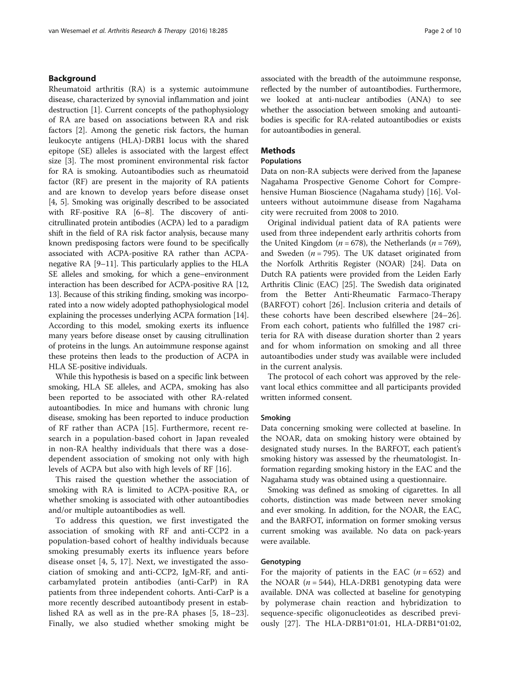## Background

Rheumatoid arthritis (RA) is a systemic autoimmune disease, characterized by synovial inflammation and joint destruction [\[1](#page-8-0)]. Current concepts of the pathophysiology of RA are based on associations between RA and risk factors [[2](#page-8-0)]. Among the genetic risk factors, the human leukocyte antigens (HLA)-DRB1 locus with the shared epitope (SE) alleles is associated with the largest effect size [[3\]](#page-8-0). The most prominent environmental risk factor for RA is smoking. Autoantibodies such as rheumatoid factor (RF) are present in the majority of RA patients and are known to develop years before disease onset [[4, 5](#page-8-0)]. Smoking was originally described to be associated with RF-positive RA [\[6](#page-8-0)–[8](#page-8-0)]. The discovery of anticitrullinated protein antibodies (ACPA) led to a paradigm shift in the field of RA risk factor analysis, because many known predisposing factors were found to be specifically associated with ACPA-positive RA rather than ACPAnegative RA [[9](#page-8-0)–[11](#page-8-0)]. This particularly applies to the HLA SE alleles and smoking, for which a gene–environment interaction has been described for ACPA-positive RA [[12](#page-8-0), [13](#page-8-0)]. Because of this striking finding, smoking was incorporated into a now widely adopted pathophysiological model explaining the processes underlying ACPA formation [[14](#page-8-0)]. According to this model, smoking exerts its influence many years before disease onset by causing citrullination of proteins in the lungs. An autoimmune response against these proteins then leads to the production of ACPA in HLA SE-positive individuals.

While this hypothesis is based on a specific link between smoking, HLA SE alleles, and ACPA, smoking has also been reported to be associated with other RA-related autoantibodies. In mice and humans with chronic lung disease, smoking has been reported to induce production of RF rather than ACPA [[15\]](#page-9-0). Furthermore, recent research in a population-based cohort in Japan revealed in non-RA healthy individuals that there was a dosedependent association of smoking not only with high levels of ACPA but also with high levels of RF [[16](#page-9-0)].

This raised the question whether the association of smoking with RA is limited to ACPA-positive RA, or whether smoking is associated with other autoantibodies and/or multiple autoantibodies as well.

To address this question, we first investigated the association of smoking with RF and anti-CCP2 in a population-based cohort of healthy individuals because smoking presumably exerts its influence years before disease onset [[4, 5](#page-8-0), [17](#page-9-0)]. Next, we investigated the association of smoking and anti-CCP2, IgM-RF, and anticarbamylated protein antibodies (anti-CarP) in RA patients from three independent cohorts. Anti-CarP is a more recently described autoantibody present in established RA as well as in the pre-RA phases [[5,](#page-8-0) [18](#page-9-0)–[23](#page-9-0)]. Finally, we also studied whether smoking might be associated with the breadth of the autoimmune response, reflected by the number of autoantibodies. Furthermore, we looked at anti-nuclear antibodies (ANA) to see whether the association between smoking and autoantibodies is specific for RA-related autoantibodies or exists for autoantibodies in general.

#### Methods

#### Populations

Data on non-RA subjects were derived from the Japanese Nagahama Prospective Genome Cohort for Comprehensive Human Bioscience (Nagahama study) [[16\]](#page-9-0). Volunteers without autoimmune disease from Nagahama city were recruited from 2008 to 2010.

Original individual patient data of RA patients were used from three independent early arthritis cohorts from the United Kingdom ( $n = 678$ ), the Netherlands ( $n = 769$ ), and Sweden ( $n = 795$ ). The UK dataset originated from the Norfolk Arthritis Register (NOAR) [\[24\]](#page-9-0). Data on Dutch RA patients were provided from the Leiden Early Arthritis Clinic (EAC) [\[25](#page-9-0)]. The Swedish data originated from the Better Anti-Rheumatic Farmaco-Therapy (BARFOT) cohort [[26\]](#page-9-0). Inclusion criteria and details of these cohorts have been described elsewhere [\[24](#page-9-0)–[26](#page-9-0)]. From each cohort, patients who fulfilled the 1987 criteria for RA with disease duration shorter than 2 years and for whom information on smoking and all three autoantibodies under study was available were included in the current analysis.

The protocol of each cohort was approved by the relevant local ethics committee and all participants provided written informed consent.

#### Smoking

Data concerning smoking were collected at baseline. In the NOAR, data on smoking history were obtained by designated study nurses. In the BARFOT, each patient's smoking history was assessed by the rheumatologist. Information regarding smoking history in the EAC and the Nagahama study was obtained using a questionnaire.

Smoking was defined as smoking of cigarettes. In all cohorts, distinction was made between never smoking and ever smoking. In addition, for the NOAR, the EAC, and the BARFOT, information on former smoking versus current smoking was available. No data on pack-years were available.

#### Genotyping

For the majority of patients in the EAC  $(n = 652)$  and the NOAR ( $n = 544$ ), HLA-DRB1 genotyping data were available. DNA was collected at baseline for genotyping by polymerase chain reaction and hybridization to sequence-specific oligonucleotides as described previously [[27\]](#page-9-0). The HLA-DRB1\*01:01, HLA-DRB1\*01:02,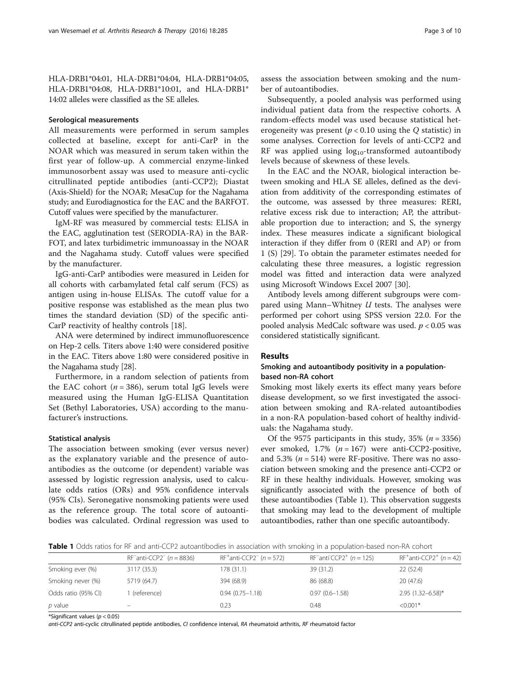HLA-DRB1\*04:01, HLA-DRB1\*04:04, HLA-DRB1\*04:05, HLA-DRB1\*04:08, HLA-DRB1\*10:01, and HLA-DRB1\* 14:02 alleles were classified as the SE alleles.

#### Serological measurements

All measurements were performed in serum samples collected at baseline, except for anti-CarP in the NOAR which was measured in serum taken within the first year of follow-up. A commercial enzyme-linked immunosorbent assay was used to measure anti-cyclic citrullinated peptide antibodies (anti-CCP2); Diastat (Axis-Shield) for the NOAR; MesaCup for the Nagahama study; and Eurodiagnostica for the EAC and the BARFOT. Cutoff values were specified by the manufacturer.

IgM-RF was measured by commercial tests: ELISA in the EAC, agglutination test (SERODIA-RA) in the BAR-FOT, and latex turbidimetric immunoassay in the NOAR and the Nagahama study. Cutoff values were specified by the manufacturer.

IgG-anti-CarP antibodies were measured in Leiden for all cohorts with carbamylated fetal calf serum (FCS) as antigen using in-house ELISAs. The cutoff value for a positive response was established as the mean plus two times the standard deviation (SD) of the specific anti-CarP reactivity of healthy controls [\[18\]](#page-9-0).

ANA were determined by indirect immunofluorescence on Hep-2 cells. Titers above 1:40 were considered positive in the EAC. Titers above 1:80 were considered positive in the Nagahama study [\[28](#page-9-0)].

Furthermore, in a random selection of patients from the EAC cohort ( $n = 386$ ), serum total IgG levels were measured using the Human IgG-ELISA Quantitation Set (Bethyl Laboratories, USA) according to the manufacturer's instructions.

## Statistical analysis

The association between smoking (ever versus never) as the explanatory variable and the presence of autoantibodies as the outcome (or dependent) variable was assessed by logistic regression analysis, used to calculate odds ratios (ORs) and 95% confidence intervals (95% CIs). Seronegative nonsmoking patients were used as the reference group. The total score of autoantibodies was calculated. Ordinal regression was used to assess the association between smoking and the number of autoantibodies.

Subsequently, a pooled analysis was performed using individual patient data from the respective cohorts. A random-effects model was used because statistical heterogeneity was present ( $p < 0.10$  using the Q statistic) in some analyses. Correction for levels of anti-CCP2 and RF was applied using  $log_{10}$ -transformed autoantibody levels because of skewness of these levels.

In the EAC and the NOAR, biological interaction between smoking and HLA SE alleles, defined as the deviation from additivity of the corresponding estimates of the outcome, was assessed by three measures: RERI, relative excess risk due to interaction; AP, the attributable proportion due to interaction; and S, the synergy index. These measures indicate a significant biological interaction if they differ from 0 (RERI and AP) or from 1 (S) [[29](#page-9-0)]. To obtain the parameter estimates needed for calculating these three measures, a logistic regression model was fitted and interaction data were analyzed using Microsoft Windows Excel 2007 [\[30](#page-9-0)].

Antibody levels among different subgroups were compared using Mann–Whitney  $U$  tests. The analyses were performed per cohort using SPSS version 22.0. For the pooled analysis MedCalc software was used.  $p < 0.05$  was considered statistically significant.

#### Results

## Smoking and autoantibody positivity in a populationbased non-RA cohort

Smoking most likely exerts its effect many years before disease development, so we first investigated the association between smoking and RA-related autoantibodies in a non-RA population-based cohort of healthy individuals: the Nagahama study.

Of the 9575 participants in this study, 35% ( $n = 3356$ ) ever smoked,  $1.7\%$  ( $n = 167$ ) were anti-CCP2-positive, and 5.3% ( $n = 514$ ) were RF-positive. There was no association between smoking and the presence anti-CCP2 or RF in these healthy individuals. However, smoking was significantly associated with the presence of both of these autoantibodies (Table 1). This observation suggests that smoking may lead to the development of multiple autoantibodies, rather than one specific autoantibody.

Table 1 Odds ratios for RF and anti-CCP2 autoantibodies in association with smoking in a population-based non-RA cohort

|                     | $RF$ <sup>-</sup> anti-CCP2 <sup>-</sup> ( $n = 8836$ ) | $RF^+$ anti-CCP2 <sup>-</sup> (n = 572) | RF <sup>-</sup> anti <sup>-</sup> CCP2 <sup>+</sup> ( $n = 125$ ) | $RF^+$ anti-CCP2 <sup>+</sup> (n = 42) |
|---------------------|---------------------------------------------------------|-----------------------------------------|-------------------------------------------------------------------|----------------------------------------|
| Smoking ever (%)    | 3117 (35.3)                                             | 178(31.1)                               | 39 (31.2)                                                         | 22 (52.4)                              |
| Smoking never (%)   | 5719 (64.7)                                             | 394 (68.9)                              | 86 (68.8)                                                         | 20(47.6)                               |
| Odds ratio (95% CI) | (reference)                                             | $0.94(0.75 - 1.18)$                     | $0.97(0.6 - 1.58)$                                                | $2.95(1.32 - 6.58)^*$                  |
| p value             | $\overline{\phantom{m}}$                                | 0.23                                    | 0.48                                                              | $< 0.001*$                             |

\*Significant values ( $p < 0.05$ )

anti-CCP2 anti-cyclic citrullinated peptide antibodies, CI confidence interval, RA rheumatoid arthritis, RF rheumatoid factor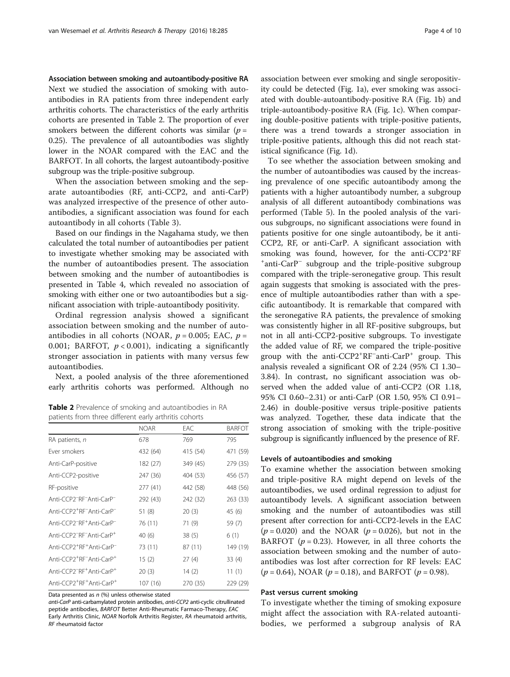Association between smoking and autoantibody-positive RA Next we studied the association of smoking with autoantibodies in RA patients from three independent early arthritis cohorts. The characteristics of the early arthritis cohorts are presented in Table 2. The proportion of ever smokers between the different cohorts was similar ( $p =$ 0.25). The prevalence of all autoantibodies was slightly lower in the NOAR compared with the EAC and the BARFOT. In all cohorts, the largest autoantibody-positive subgroup was the triple-positive subgroup.

When the association between smoking and the separate autoantibodies (RF, anti-CCP2, and anti-CarP) was analyzed irrespective of the presence of other autoantibodies, a significant association was found for each autoantibody in all cohorts (Table [3\)](#page-4-0).

Based on our findings in the Nagahama study, we then calculated the total number of autoantibodies per patient to investigate whether smoking may be associated with the number of autoantibodies present. The association between smoking and the number of autoantibodies is presented in Table [4,](#page-4-0) which revealed no association of smoking with either one or two autoantibodies but a significant association with triple-autoantibody positivity.

Ordinal regression analysis showed a significant association between smoking and the number of autoantibodies in all cohorts (NOAR,  $p = 0.005$ ; EAC,  $p =$ 0.001; BARFOT,  $p < 0.001$ ), indicating a significantly stronger association in patients with many versus few autoantibodies.

Next, a pooled analysis of the three aforementioned early arthritis cohorts was performed. Although no

Table 2 Prevalence of smoking and autoantibodies in RA patients from three different early arthritis cohorts

|                                                               | <b>NOAR</b> | EAC      | <b>BAREOT</b> |
|---------------------------------------------------------------|-------------|----------|---------------|
| RA patients, n                                                | 678         | 769      | 795           |
| Ever smokers                                                  | 432 (64)    | 415 (54) | 471 (59)      |
| Anti-CarP-positive                                            | 182 (27)    | 349 (45) | 279 (35)      |
| Anti-CCP2-positive                                            | 247 (36)    | 404 (53) | 456 (57)      |
| RF-positive                                                   | 277 (41)    | 442 (58) | 448 (56)      |
| Anti-CCP2 <sup>-</sup> RF <sup>-</sup> Anti-CarP <sup>-</sup> | 292 (43)    | 242 (32) | 263 (33)      |
| Anti-CCP2 <sup>+</sup> RF <sup>-</sup> Anti-CarP <sup>-</sup> | 51 (8)      | 20(3)    | 45 (6)        |
| Anti-CCP2 <sup>-</sup> RF <sup>+</sup> Anti-CarP <sup>-</sup> | 76 (11)     | 71 (9)   | 59 (7)        |
| Anti-CCP2 <sup>-</sup> RF <sup>-</sup> Anti-CarP <sup>+</sup> | 40 (6)      | 38(5)    | 6(1)          |
| Anti-CCP2 <sup>+</sup> RF <sup>+</sup> Anti-CarP <sup>-</sup> | 73 (11)     | 87(11)   | 149 (19)      |
| Anti-CCP2 <sup>+</sup> RF <sup>-</sup> Anti-CarP <sup>+</sup> | 15(2)       | 27(4)    | 33(4)         |
| Anti-CCP2 <sup>-</sup> RF <sup>+</sup> Anti-CarP <sup>+</sup> | 20(3)       | 14(2)    | 11(1)         |
| Anti-CCP2 <sup>+</sup> RF <sup>+</sup> Anti-CarP <sup>+</sup> | 107 (16)    | 270 (35) | 229 (29)      |

Data presented as  $n$  (%) unless otherwise stated

anti-CarP anti-carbamylated protein antibodies, anti-CCP2 anti-cyclic citrullinated peptide antibodies, BARFOT Better Anti‐Rheumatic Farmaco-Therapy, EAC Early Arthritis Clinic, NOAR Norfolk Arthritis Register, RA rheumatoid arthritis, RF rheumatoid factor

association between ever smoking and single seropositivity could be detected (Fig. [1a](#page-5-0)), ever smoking was associated with double-autoantibody-positive RA (Fig. [1b](#page-5-0)) and triple-autoantibody-positive RA (Fig. [1c\)](#page-5-0). When comparing double-positive patients with triple-positive patients, there was a trend towards a stronger association in triple-positive patients, although this did not reach statistical significance (Fig. [1d](#page-5-0)).

To see whether the association between smoking and the number of autoantibodies was caused by the increasing prevalence of one specific autoantibody among the patients with a higher autoantibody number, a subgroup analysis of all different autoantibody combinations was performed (Table [5\)](#page-5-0). In the pooled analysis of the various subgroups, no significant associations were found in patients positive for one single autoantibody, be it anti-CCP2, RF, or anti-CarP. A significant association with smoking was found, however, for the anti-CCP2<sup>+</sup>RF  $\pm$ anti-Car<sup>p-</sup> subgroup and the triple positive subgroup  $^+$ anti-CarP<sup>-</sup> subgroup and the triple-positive subgroup compared with the triple-seronegative group. This result again suggests that smoking is associated with the presence of multiple autoantibodies rather than with a specific autoantibody. It is remarkable that compared with the seronegative RA patients, the prevalence of smoking was consistently higher in all RF-positive subgroups, but not in all anti-CCP2-positive subgroups. To investigate the added value of RF, we compared the triple-positive group with the anti-CCP2<sup>+</sup> RF– anti-CarP<sup>+</sup> group. This analysis revealed a significant OR of 2.24 (95% CI 1.30– 3.84). In contrast, no significant association was observed when the added value of anti-CCP2 (OR 1.18, 95% CI 0.60–2.31) or anti-CarP (OR 1.50, 95% CI 0.91– 2.46) in double-positive versus triple-positive patients was analyzed. Together, these data indicate that the strong association of smoking with the triple-positive subgroup is significantly influenced by the presence of RF.

## Levels of autoantibodies and smoking

To examine whether the association between smoking and triple-positive RA might depend on levels of the autoantibodies, we used ordinal regression to adjust for autoantibody levels. A significant association between smoking and the number of autoantibodies was still present after correction for anti-CCP2-levels in the EAC  $(p = 0.020)$  and the NOAR  $(p = 0.026)$ , but not in the BARFOT ( $p = 0.23$ ). However, in all three cohorts the association between smoking and the number of autoantibodies was lost after correction for RF levels: EAC  $(p = 0.64)$ , NOAR  $(p = 0.18)$ , and BARFOT  $(p = 0.98)$ .

#### Past versus current smoking

To investigate whether the timing of smoking exposure might affect the association with RA-related autoantibodies, we performed a subgroup analysis of RA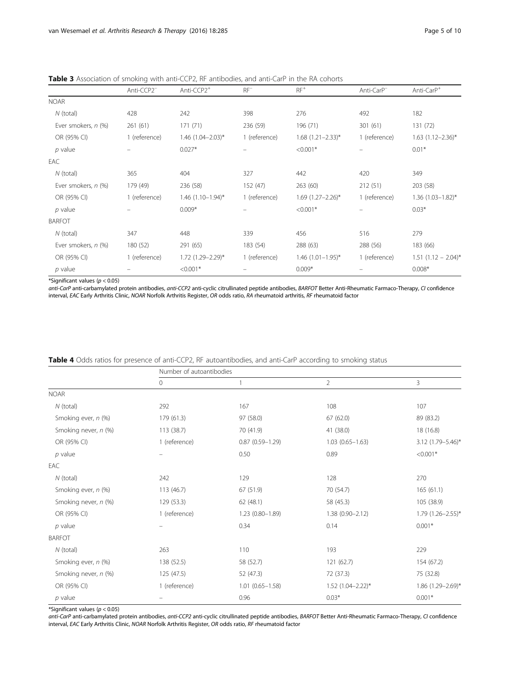<span id="page-4-0"></span>

| Table 3 Association of smoking with anti-CCP2, RF antibodies, and anti-CarP in the RA cohorts |  |  |  |
|-----------------------------------------------------------------------------------------------|--|--|--|
|-----------------------------------------------------------------------------------------------|--|--|--|

|                     | Anti-CCP2     | Anti-CCP2 <sup>+</sup>   | $RF^-$        | $\mathsf{RF}^+$          | Anti-CarP <sup>-</sup> | Anti-CarP <sup>+</sup>          |
|---------------------|---------------|--------------------------|---------------|--------------------------|------------------------|---------------------------------|
| <b>NOAR</b>         |               |                          |               |                          |                        |                                 |
| $N$ (total)         | 428           | 242                      | 398           | 276                      | 492                    | 182                             |
| Ever smokers, n (%) | 261(61)       | 171(71)                  | 236 (59)      | 196 (71)                 | 301(61)                | 131 (72)                        |
| OR (95% CI)         | 1 (reference) | $1.46$ $(1.04 - 2.03)$ * | 1 (reference) | $1.68$ $(1.21 - 2.33)^*$ | 1 (reference)          | $1.63$ (1.12-2.36)*             |
| $p$ value           |               | $0.027*$                 |               | $< 0.001*$               |                        | $0.01*$                         |
| EAC                 |               |                          |               |                          |                        |                                 |
| $N$ (total)         | 365           | 404                      | 327           | 442                      | 420                    | 349                             |
| Ever smokers, n (%) | 179 (49)      | 236 (58)                 | 152 (47)      | 263 (60)                 | 212(51)                | 203 (58)                        |
| OR (95% CI)         | 1 (reference) | $1.46$ (1.10-1.94)*      | 1 (reference) | $1.69$ (1.27-2.26)*      | 1 (reference)          | $1.36$ (1.03-1.82) <sup>*</sup> |
| $p$ value           |               | $0.009*$                 |               | $< 0.001*$               |                        | $0.03*$                         |
| <b>BARFOT</b>       |               |                          |               |                          |                        |                                 |
| $N$ (total)         | 347           | 448                      | 339           | 456                      | 516                    | 279                             |
| Ever smokers, n (%) | 180 (52)      | 291 (65)                 | 183 (54)      | 288 (63)                 | 288 (56)               | 183 (66)                        |
| OR (95% CI)         | 1 (reference) | 1.72 (1.29-2.29)*        | 1 (reference) | $1.46$ $(1.01-1.95)$ *   | 1 (reference)          | $1.51$ $(1.12 - 2.04)^{*}$      |
| $p$ value           |               | $< 0.001*$               |               | $0.009*$                 |                        | $0.008*$                        |

\*Significant values ( $p < 0.05$ )

anti-CarP anti-carbamylated protein antibodies, anti-CCP2 anti-cyclic citrullinated peptide antibodies, BARFOT Better Anti‐Rheumatic Farmaco-Therapy, CI confidence interval, EAC Early Arthritis Clinic, NOAR Norfolk Arthritis Register, OR odds ratio, RA rheumatoid arthritis, RF rheumatoid factor

|                      | Number of autoantibodies |                     |                     |                     |  |
|----------------------|--------------------------|---------------------|---------------------|---------------------|--|
|                      | $\mathbf 0$              |                     | $\overline{2}$      | 3                   |  |
| <b>NOAR</b>          |                          |                     |                     |                     |  |
| $N$ (total)          | 292                      | 167                 | 108                 | 107                 |  |
| Smoking ever, n (%)  | 179 (61.3)               | 97 (58.0)           | 67(62.0)            | 89 (83.2)           |  |
| Smoking never, n (%) | 113 (38.7)               | 70 (41.9)           | 41 (38.0)           | 18 (16.8)           |  |
| OR (95% CI)          | 1 (reference)            | $0.87(0.59 - 1.29)$ | $1.03(0.65 - 1.63)$ | 3.12 (1.79-5.46)*   |  |
| $p$ value            |                          | 0.50                | 0.89                | $< 0.001*$          |  |
| EAC                  |                          |                     |                     |                     |  |
| $N$ (total)          | 242                      | 129                 | 128                 | 270                 |  |
| Smoking ever, n (%)  | 113 (46.7)               | 67 (51.9)           | 70 (54.7)           | 165(61.1)           |  |
| Smoking never, n (%) | 129 (53.3)               | 62(48.1)            | 58 (45.3)           | 105 (38.9)          |  |
| OR (95% CI)          | 1 (reference)            | $1.23(0.80 - 1.89)$ | $1.38(0.90 - 2.12)$ | $1.79$ (1.26-2.55)* |  |
| $p$ value            |                          | 0.34                | 0.14                | $0.001*$            |  |
| <b>BARFOT</b>        |                          |                     |                     |                     |  |
| $N$ (total)          | 263                      | 110                 | 193                 | 229                 |  |
| Smoking ever, n (%)  | 138 (52.5)               | 58 (52.7)           | 121 (62.7)          | 154 (67.2)          |  |
| Smoking never, n (%) | 125 (47.5)               | 52 (47.3)           | 72 (37.3)           | 75 (32.8)           |  |
| OR (95% CI)          | 1 (reference)            | $1.01(0.65 - 1.58)$ | 1.52 (1.04-2.22)*   | 1.86 (1.29-2.69)*   |  |
| $p$ value            |                          | 0.96                | $0.03*$             | $0.001*$            |  |

## Table 4 Odds ratios for presence of anti-CCP2, RF autoantibodies, and anti-CarP according to smoking status

\*Significant values ( $p < 0.05$ )

anti-CarP anti-carbamylated protein antibodies, anti-CCP2 anti-cyclic citrullinated peptide antibodies, BARFOT Better Anti-Rheumatic Farmaco-Therapy, CI confidence interval, EAC Early Arthritis Clinic, NOAR Norfolk Arthritis Register, OR odds ratio, RF rheumatoid factor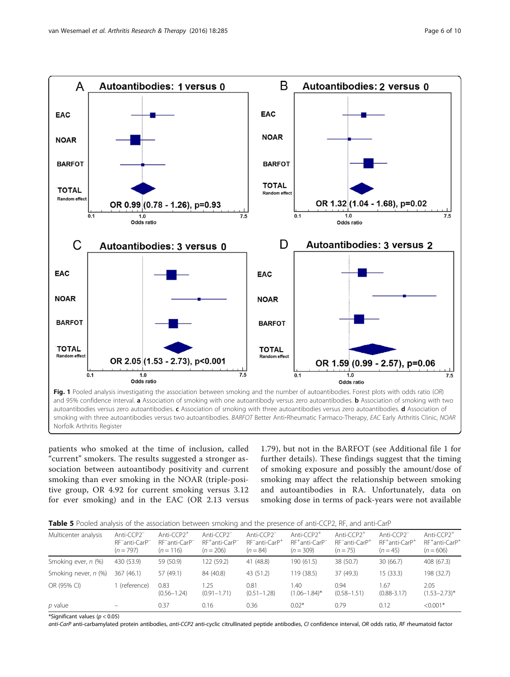<span id="page-5-0"></span>

Norfolk Arthritis Register

patients who smoked at the time of inclusion, called "current" smokers. The results suggested a stronger association between autoantibody positivity and current smoking than ever smoking in the NOAR (triple-positive group, OR 4.92 for current smoking versus 3.12 for ever smoking) and in the EAC (OR 2.13 versus

1.79), but not in the BARFOT (see Additional file [1](#page-7-0) for further details). These findings suggest that the timing of smoking exposure and possibly the amount/dose of smoking may affect the relationship between smoking and autoantibodies in RA. Unfortunately, data on smoking dose in terms of pack-years were not available

| <b>Table 5</b> Pooled analysis of the association between smoking and the presence of anti-CCP2. RF, and anti-CarP |  |  |  |  |
|--------------------------------------------------------------------------------------------------------------------|--|--|--|--|
|--------------------------------------------------------------------------------------------------------------------|--|--|--|--|

| Multicenter analysis | Anti-CCP2 <sup>-</sup><br>RF <sup>-</sup> anti-CarP <sup>-</sup><br>$(n = 797)$ | Anti-CCP2 <sup>+</sup><br>RF <sup>-</sup> anti-CarP <sup>-</sup><br>$(n = 116)$ | Anti-CCP2 <sup>-</sup><br>RF <sup>+</sup> anti-CarP <sup>-</sup><br>$(n = 206)$ | Anti-CCP2 <sup>-</sup><br>RF <sup>-</sup> anti-CarP <sup>+</sup><br>$(n = 84)$ | Anti-CCP2 <sup>+</sup><br>RF <sup>+</sup> anti-CarP <sup>-</sup><br>$(n = 309)$ | Anti-CCP2 <sup>+</sup><br>RF <sup>-</sup> anti-CarP <sup>+</sup><br>$(n = 75)$ | Anti-CCP2 <sup>-</sup><br>RF <sup>+</sup> anti-CarP <sup>+</sup><br>$(n = 45)$ | Anti-CCP2 <sup>+</sup><br>RF <sup>+</sup> anti-CarP <sup>+</sup><br>$(n = 606)$ |
|----------------------|---------------------------------------------------------------------------------|---------------------------------------------------------------------------------|---------------------------------------------------------------------------------|--------------------------------------------------------------------------------|---------------------------------------------------------------------------------|--------------------------------------------------------------------------------|--------------------------------------------------------------------------------|---------------------------------------------------------------------------------|
| Smoking ever, n (%)  | 430 (53.9)                                                                      | 59 (50.9)                                                                       | 122 (59.2)                                                                      | 41 (48.8)                                                                      | 190 (61.5)                                                                      | 38 (50.7)                                                                      | 30(66.7)                                                                       | 408 (67.3)                                                                      |
| Smoking never, n (%) | 367 (46.1)                                                                      | 57 (49.1)                                                                       | 84 (40.8)                                                                       | 43 (51.2)                                                                      | 119 (38.5)                                                                      | 37 (49.3)                                                                      | 15(33.3)                                                                       | 198 (32.7)                                                                      |
| OR (95% CI)          | reference)                                                                      | 0.83<br>$(0.56 - 1.24)$                                                         | 1.25<br>$(0.91 - 1.71)$                                                         | 0.81<br>$(0.51 - 1.28)$                                                        | 1.40<br>$(1.06 - 1.84)^*$                                                       | 0.94<br>$(0.58 - 1.51)$                                                        | 1.67<br>$(0.88 - 3.17)$                                                        | 2.05<br>$(1.53 - 2.73)^*$                                                       |
| $p$ value            |                                                                                 | 0.37                                                                            | 0.16                                                                            | 0.36                                                                           | $0.02*$                                                                         | 0.79                                                                           | 0.12                                                                           | $< 0.001*$                                                                      |

\*Significant values ( $p < 0.05$ )

anti-CarP anti-carbamylated protein antibodies, anti-CCP2 anti-cyclic citrullinated peptide antibodies, CI confidence interval, OR odds ratio, RF rheumatoid factor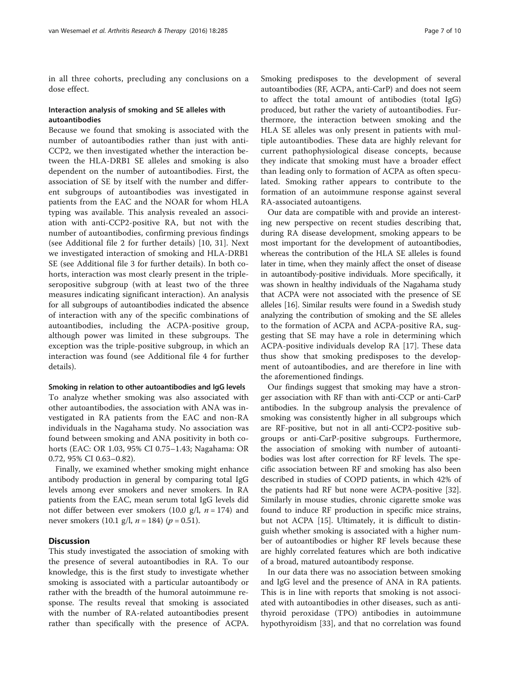in all three cohorts, precluding any conclusions on a dose effect.

#### Interaction analysis of smoking and SE alleles with autoantibodies

Because we found that smoking is associated with the number of autoantibodies rather than just with anti-CCP2, we then investigated whether the interaction between the HLA-DRB1 SE alleles and smoking is also dependent on the number of autoantibodies. First, the association of SE by itself with the number and different subgroups of autoantibodies was investigated in patients from the EAC and the NOAR for whom HLA typing was available. This analysis revealed an association with anti-CCP2-positive RA, but not with the number of autoantibodies, confirming previous findings (see Additional file [2](#page-7-0) for further details) [\[10](#page-8-0), [31](#page-9-0)]. Next we investigated interaction of smoking and HLA-DRB1 SE (see Additional file [3](#page-7-0) for further details). In both cohorts, interaction was most clearly present in the tripleseropositive subgroup (with at least two of the three measures indicating significant interaction). An analysis for all subgroups of autoantibodies indicated the absence of interaction with any of the specific combinations of autoantibodies, including the ACPA-positive group, although power was limited in these subgroups. The exception was the triple-positive subgroup, in which an interaction was found (see Additional file [4](#page-7-0) for further details).

#### Smoking in relation to other autoantibodies and IgG levels

To analyze whether smoking was also associated with other autoantibodies, the association with ANA was investigated in RA patients from the EAC and non-RA individuals in the Nagahama study. No association was found between smoking and ANA positivity in both cohorts (EAC: OR 1.03, 95% CI 0.75–1.43; Nagahama: OR 0.72, 95% CI 0.63–0.82).

Finally, we examined whether smoking might enhance antibody production in general by comparing total IgG levels among ever smokers and never smokers. In RA patients from the EAC, mean serum total IgG levels did not differ between ever smokers (10.0 g/l,  $n = 174$ ) and never smokers (10.1 g/l,  $n = 184$ ) ( $p = 0.51$ ).

## **Discussion**

This study investigated the association of smoking with the presence of several autoantibodies in RA. To our knowledge, this is the first study to investigate whether smoking is associated with a particular autoantibody or rather with the breadth of the humoral autoimmune response. The results reveal that smoking is associated with the number of RA-related autoantibodies present rather than specifically with the presence of ACPA.

Smoking predisposes to the development of several autoantibodies (RF, ACPA, anti-CarP) and does not seem to affect the total amount of antibodies (total IgG) produced, but rather the variety of autoantibodies. Furthermore, the interaction between smoking and the HLA SE alleles was only present in patients with multiple autoantibodies. These data are highly relevant for current pathophysiological disease concepts, because they indicate that smoking must have a broader effect than leading only to formation of ACPA as often speculated. Smoking rather appears to contribute to the formation of an autoimmune response against several RA-associated autoantigens.

Our data are compatible with and provide an interesting new perspective on recent studies describing that, during RA disease development, smoking appears to be most important for the development of autoantibodies, whereas the contribution of the HLA SE alleles is found later in time, when they mainly affect the onset of disease in autoantibody-positive individuals. More specifically, it was shown in healthy individuals of the Nagahama study that ACPA were not associated with the presence of SE alleles [\[16\]](#page-9-0). Similar results were found in a Swedish study analyzing the contribution of smoking and the SE alleles to the formation of ACPA and ACPA-positive RA, suggesting that SE may have a role in determining which ACPA-positive individuals develop RA [[17\]](#page-9-0). These data thus show that smoking predisposes to the development of autoantibodies, and are therefore in line with the aforementioned findings.

Our findings suggest that smoking may have a stronger association with RF than with anti-CCP or anti-CarP antibodies. In the subgroup analysis the prevalence of smoking was consistently higher in all subgroups which are RF-positive, but not in all anti-CCP2-positive subgroups or anti-CarP-positive subgroups. Furthermore, the association of smoking with number of autoantibodies was lost after correction for RF levels. The specific association between RF and smoking has also been described in studies of COPD patients, in which 42% of the patients had RF but none were ACPA-positive [\[32](#page-9-0)]. Similarly in mouse studies, chronic cigarette smoke was found to induce RF production in specific mice strains, but not ACPA [[15\]](#page-9-0). Ultimately, it is difficult to distinguish whether smoking is associated with a higher number of autoantibodies or higher RF levels because these are highly correlated features which are both indicative of a broad, matured autoantibody response.

In our data there was no association between smoking and IgG level and the presence of ANA in RA patients. This is in line with reports that smoking is not associated with autoantibodies in other diseases, such as antithyroid peroxidase (TPO) antibodies in autoimmune hypothyroidism [\[33](#page-9-0)], and that no correlation was found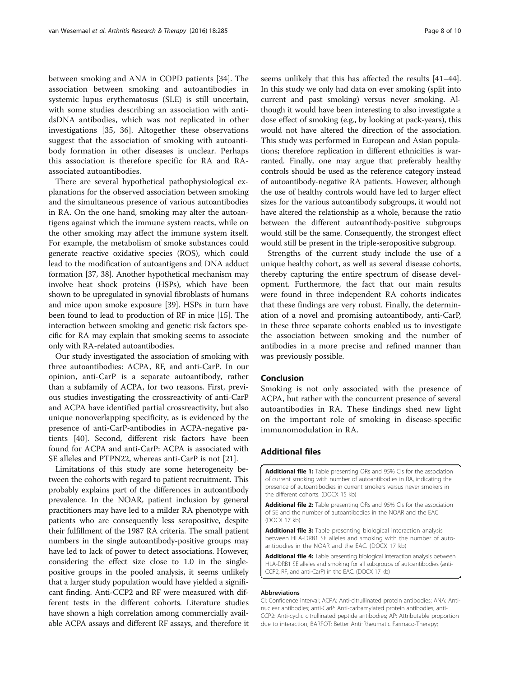<span id="page-7-0"></span>between smoking and ANA in COPD patients [[34\]](#page-9-0). The association between smoking and autoantibodies in systemic lupus erythematosus (SLE) is still uncertain, with some studies describing an association with antidsDNA antibodies, which was not replicated in other investigations [\[35](#page-9-0), [36](#page-9-0)]. Altogether these observations suggest that the association of smoking with autoantibody formation in other diseases is unclear. Perhaps this association is therefore specific for RA and RAassociated autoantibodies.

There are several hypothetical pathophysiological explanations for the observed association between smoking and the simultaneous presence of various autoantibodies in RA. On the one hand, smoking may alter the autoantigens against which the immune system reacts, while on the other smoking may affect the immune system itself. For example, the metabolism of smoke substances could generate reactive oxidative species (ROS), which could lead to the modification of autoantigens and DNA adduct formation [[37](#page-9-0), [38](#page-9-0)]. Another hypothetical mechanism may involve heat shock proteins (HSPs), which have been shown to be upregulated in synovial fibroblasts of humans and mice upon smoke exposure [[39](#page-9-0)]. HSPs in turn have been found to lead to production of RF in mice [[15](#page-9-0)]. The interaction between smoking and genetic risk factors specific for RA may explain that smoking seems to associate only with RA-related autoantibodies.

Our study investigated the association of smoking with three autoantibodies: ACPA, RF, and anti-CarP. In our opinion, anti-CarP is a separate autoantibody, rather than a subfamily of ACPA, for two reasons. First, previous studies investigating the crossreactivity of anti-CarP and ACPA have identified partial crossreactivity, but also unique nonoverlapping specificity, as is evidenced by the presence of anti-CarP-antibodies in ACPA-negative patients [\[40\]](#page-9-0). Second, different risk factors have been found for ACPA and anti-CarP: ACPA is associated with SE alleles and PTPN22, whereas anti-CarP is not [\[21\]](#page-9-0).

Limitations of this study are some heterogeneity between the cohorts with regard to patient recruitment. This probably explains part of the differences in autoantibody prevalence. In the NOAR, patient inclusion by general practitioners may have led to a milder RA phenotype with patients who are consequently less seropositive, despite their fulfillment of the 1987 RA criteria. The small patient numbers in the single autoantibody-positive groups may have led to lack of power to detect associations. However, considering the effect size close to 1.0 in the singlepositive groups in the pooled analysis, it seems unlikely that a larger study population would have yielded a significant finding. Anti-CCP2 and RF were measured with different tests in the different cohorts. Literature studies have shown a high correlation among commercially available ACPA assays and different RF assays, and therefore it

seems unlikely that this has affected the results [\[41](#page-9-0)–[44](#page-9-0)]. In this study we only had data on ever smoking (split into current and past smoking) versus never smoking. Although it would have been interesting to also investigate a dose effect of smoking (e.g., by looking at pack-years), this would not have altered the direction of the association. This study was performed in European and Asian populations; therefore replication in different ethnicities is warranted. Finally, one may argue that preferably healthy controls should be used as the reference category instead of autoantibody-negative RA patients. However, although the use of healthy controls would have led to larger effect sizes for the various autoantibody subgroups, it would not have altered the relationship as a whole, because the ratio between the different autoantibody-positive subgroups would still be the same. Consequently, the strongest effect would still be present in the triple-seropositive subgroup.

Strengths of the current study include the use of a unique healthy cohort, as well as several disease cohorts, thereby capturing the entire spectrum of disease development. Furthermore, the fact that our main results were found in three independent RA cohorts indicates that these findings are very robust. Finally, the determination of a novel and promising autoantibody, anti-CarP, in these three separate cohorts enabled us to investigate the association between smoking and the number of antibodies in a more precise and refined manner than was previously possible.

#### Conclusion

Smoking is not only associated with the presence of ACPA, but rather with the concurrent presence of several autoantibodies in RA. These findings shed new light on the important role of smoking in disease-specific immunomodulation in RA.

## Additional files

[Additional file 1:](dx.doi.org/10.1186/s13075-016-1177-9) Table presenting ORs and 95% CIs for the association of current smoking with number of autoantibodies in RA, indicating the presence of autoantibodies in current smokers versus never smokers in the different cohorts. (DOCX 15 kb)

[Additional file 2:](dx.doi.org/10.1186/s13075-016-1177-9) Table presenting ORs and 95% CIs for the association of SE and the number of autoantibodies in the NOAR and the EAC. (DOCX 17 kb)

[Additional file 3:](dx.doi.org/10.1186/s13075-016-1177-9) Table presenting biological interaction analysis between HLA-DRB1 SE alleles and smoking with the number of autoantibodies in the NOAR and the EAC. (DOCX 17 kb)

[Additional file 4:](dx.doi.org/10.1186/s13075-016-1177-9) Table presenting biological interaction analysis between HLA-DRB1 SE alleles and smoking for all subgroups of autoantibodies (anti-CCP2, RF, and anti-CarP) in the EAC. (DOCX 17 kb)

#### Abbreviations

CI: Confidence interval; ACPA: Anti-citrullinated protein antibodies; ANA: Antinuclear antibodies; anti-CarP: Anti-carbamylated protein antibodies; anti-CCP2: Anti-cyclic citrullinated peptide antibodies; AP: Attributable proportion due to interaction; BARFOT: Better Anti‐Rheumatic Farmaco-Therapy;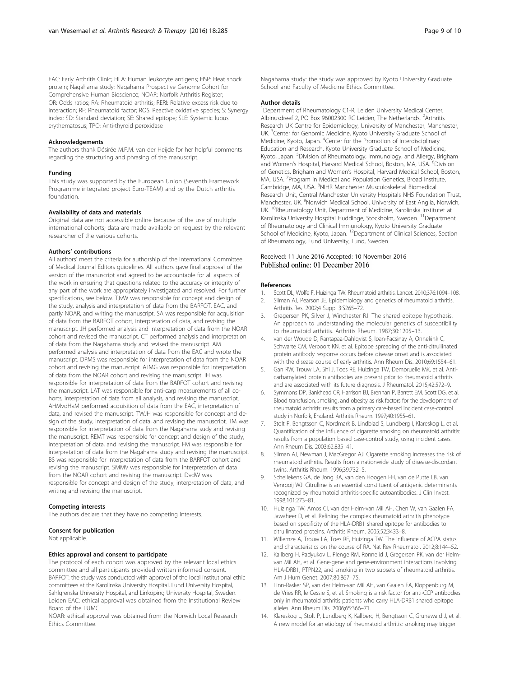<span id="page-8-0"></span>EAC: Early Arthritis Clinic; HLA: Human leukocyte antigens; HSP: Heat shock protein; Nagahama study: Nagahama Prospective Genome Cohort for Comprehensive Human Bioscience; NOAR: Norfolk Arthritis Register; OR: Odds ratios; RA: Rheumatoid arthritis; RERI: Relative excess risk due to interaction; RF: Rheumatoid factor; ROS: Reactive oxidative species; S: Synergy index; SD: Standard deviation; SE: Shared epitope; SLE: Systemic lupus erythematosus; TPO: Anti-thyroid peroxidase

#### Acknowledgements

The authors thank Désirée M.F.M. van der Heijde for her helpful comments regarding the structuring and phrasing of the manuscript.

#### Funding

This study was supported by the European Union (Seventh Framework Programme integrated project Euro-TEAM) and by the Dutch arthritis foundation.

#### Availability of data and materials

Original data are not accessible online because of the use of multiple international cohorts; data are made available on request by the relevant researcher of the various cohorts.

#### Authors' contributions

All authors' meet the criteria for authorship of the International Committee of Medical Journal Editors guidelines. All authors gave final approval of the version of the manuscript and agreed to be accountable for all aspects of the work in ensuring that questions related to the accuracy or integrity of any part of the work are appropriately investigated and resolved. For further specifications, see below. TJvW was responsible for concept and design of the study, analysis and interpretation of data from the BARFOT, EAC, and partly NOAR, and writing the manuscript. SA was responsible for acquisition of data from the BARFOT cohort, interpretation of data, and revising the manuscript. JH performed analysis and interpretation of data from the NOAR cohort and revised the manuscript. CT performed analysis and interpretation of data from the Nagahama study and revised the manuscript. AM performed analysis and interpretation of data from the EAC and wrote the manuscript. DPMS was responsible for interpretation of data from the NOAR cohort and revising the manuscript. AJMG was responsible for interpretation of data from the NOAR cohort and revising the manuscript. IH was responsible for interpretation of data from the BARFOT cohort and revising the manuscript. LAT was responsible for anti-carp measurements of all cohorts, interpretation of data from all analysis, and revising the manuscript. AHMvdHvM performed acquisition of data from the EAC, interpretation of data, and revised the manuscript. TWJH was responsible for concept and design of the study, interpretation of data, and revising the manuscript. TM was responsible for interpretation of data from the Nagahama sudy and revising the manuscript. REMT was responsible for concept and design of the study, interpretation of data, and revising the manuscript. FM was responsible for interpretation of data from the Nagahama study and revising the manuscript. BS was responsible for interpretation of data from the BARFOT cohort and revising the manuscript. SMMV was responsible for interpretation of data from the NOAR cohort and revising the manuscript. DvdW was responsible for concept and design of the study, interpretation of data, and writing and revising the manuscript.

#### Competing interests

The authors declare that they have no competing interests.

#### Consent for publication

Not applicable.

#### Ethics approval and consent to participate

The protocol of each cohort was approved by the relevant local ethics committee and all participants provided written informed consent. BARFOT: the study was conducted with approval of the local institutional ethic committees at the Karolinska University Hospital, Lund University Hospital, Sahlgrenska University Hospital, and Linköping University Hospital, Sweden. Leiden EAC: ethical approval was obtained from the Institutional Review Board of the LUMC.

NOAR: ethical approval was obtained from the Norwich Local Research Ethics Committee.

Nagahama study: the study was approved by Kyoto University Graduate School and Faculty of Medicine Ethics Committee.

#### Author details

<sup>1</sup>Department of Rheumatology C1-R, Leiden University Medical Center, Albinusdreef 2, PO Box 96002300 RC Leiden, The Netherlands. <sup>2</sup>Arthritis Research UK Centre for Epidemiology, University of Manchester, Manchester, UK.<sup>3</sup> Center for Genomic Medicine, Kyoto University Graduate School of Medicine, Kyoto, Japan. <sup>4</sup>Center for the Promotion of Interdisciplinary Education and Research, Kyoto University Graduate School of Medicine, Kyoto, Japan. <sup>5</sup>Division of Rheumatology, Immunology, and Allergy, Brigham and Women's Hospital, Harvard Medical School, Boston, MA, USA. <sup>6</sup>Division of Genetics, Brigham and Women's Hospital, Harvard Medical School, Boston, MA, USA. <sup>7</sup>Program in Medical and Population Genetics, Broad Institute, Cambridge, MA, USA. <sup>8</sup>NIHR Manchester Musculoskeletal Biomedical Research Unit, Central Manchester University Hospitals NHS Foundation Trust, Manchester, UK. <sup>9</sup>Norwich Medical School, University of East Anglia, Norwich, UK. <sup>10</sup>Rheumatology Unit, Department of Medicine, Karolinska Institutet at Karolinska University Hospital Huddinge, Stockholm, Sweden. <sup>11</sup>Department of Rheumatology and Clinical Immunology, Kyoto University Graduate School of Medicine, Kyoto, Japan. <sup>12</sup>Department of Clinical Sciences, Section of Rheumatology, Lund University, Lund, Sweden.

#### Received: 11 June 2016 Accepted: 10 November 2016 Published online: 01 December 2016

#### References

- 1. Scott DL, Wolfe F, Huizinga TW. Rheumatoid arthritis. Lancet. 2010;376:1094–108.
- 2. Silman AJ, Pearson JE. Epidemiology and genetics of rheumatoid arthritis. Arthritis Res. 2002;4 Suppl 3:S265–72.
- Gregersen PK, Silver J, Winchester RJ. The shared epitope hypothesis. An approach to understanding the molecular genetics of susceptibility to rheumatoid arthritis. Arthritis Rheum. 1987;30:1205–13.
- 4. van der Woude D, Rantapaa-Dahlqvist S, Ioan-Facsinay A, Onnekink C, Schwarte CM, Verpoort KN, et al. Epitope spreading of the anti-citrullinated protein antibody response occurs before disease onset and is associated with the disease course of early arthritis. Ann Rheum Dis. 2010;69:1554–61.
- 5. Gan RW, Trouw LA, Shi J, Toes RE, Huizinga TW, Demoruelle MK, et al. Anticarbamylated protein antibodies are present prior to rheumatoid arthritis and are associated with its future diagnosis. J Rheumatol. 2015;42:572–9.
- Symmons DP, Bankhead CR, Harrison BJ, Brennan P, Barrett EM, Scott DG, et al. Blood transfusion, smoking, and obesity as risk factors for the development of rheumatoid arthritis: results from a primary care-based incident case-control study in Norfolk, England. Arthritis Rheum. 1997;40:1955–61.
- 7. Stolt P, Bengtsson C, Nordmark B, Lindblad S, Lundberg I, Klareskog L, et al. Quantification of the influence of cigarette smoking on rheumatoid arthritis: results from a population based case-control study, using incident cases. Ann Rheum Dis. 2003;62:835–41.
- 8. Silman AJ, Newman J, MacGregor AJ. Cigarette smoking increases the risk of rheumatoid arthritis. Results from a nationwide study of disease-discordant twins. Arthritis Rheum. 1996;39:732–5.
- 9. Schellekens GA, de Jong BA, van den Hoogen FH, van de Putte LB, van Venrooij WJ. Citrulline is an essential constituent of antigenic determinants recognized by rheumatoid arthritis-specific autoantibodies. J Clin Invest. 1998;101:273–81.
- 10. Huizinga TW, Amos CI, van der Helm-van Mil AH, Chen W, van Gaalen FA, Jawaheer D, et al. Refining the complex rheumatoid arthritis phenotype based on specificity of the HLA-DRB1 shared epitope for antibodies to citrullinated proteins. Arthritis Rheum. 2005;52:3433–8.
- 11. Willemze A, Trouw LA, Toes RE, Huizinga TW. The influence of ACPA status and characteristics on the course of RA. Nat Rev Rheumatol. 2012;8:144–52.
- 12. Kallberg H, Padyukov L, Plenge RM, Ronnelid J, Gregersen PK, van der Helmvan Mil AH, et al. Gene-gene and gene-environment interactions involving HLA-DRB1, PTPN22, and smoking in two subsets of rheumatoid arthritis. Am J Hum Genet. 2007;80:867–75.
- 13. Linn-Rasker SP, van der Helm-van Mil AH, van Gaalen FA, Kloppenburg M, de Vries RR, le Cessie S, et al. Smoking is a risk factor for anti-CCP antibodies only in rheumatoid arthritis patients who carry HLA-DRB1 shared epitope alleles. Ann Rheum Dis. 2006;65:366–71.
- 14. Klareskog L, Stolt P, Lundberg K, Källberg H, Bengtsson C, Grunewald J, et al. A new model for an etiology of rheumatoid arthritis: smoking may trigger